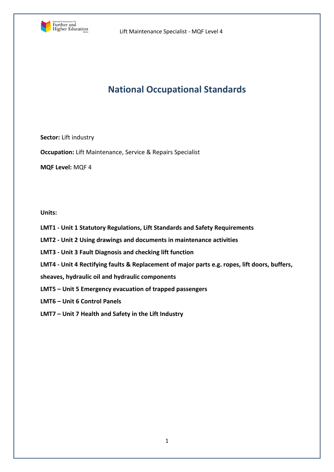

# **National Occupational Standards**

**Sector:** Lift industry

**Occupation:** Lift Maintenance, Service & Repairs Specialist

**MQF Level:** MQF 4

**Units:** 

- **LMT1 - Unit 1 Statutory Regulations, Lift Standards and Safety Requirements**
- **LMT2 - Unit 2 Using drawings and documents in maintenance activities**
- **LMT3 - Unit 3 Fault Diagnosis and checking lift function**
- **LMT4 - Unit 4 Rectifying faults & Replacement of major parts e.g. ropes, lift doors, buffers,**

**sheaves, hydraulic oil and hydraulic components**

- **LMT5 – Unit 5 Emergency evacuation of trapped passengers**
- **LMT6 – Unit 6 Control Panels**
- **LMT7 – Unit 7 Health and Safety in the Lift Industry**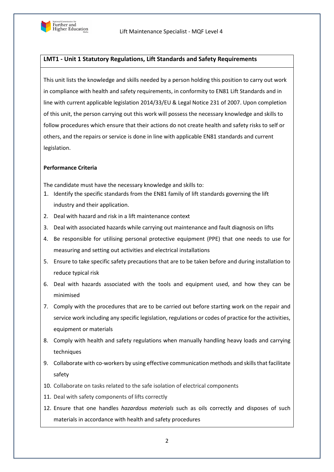

# **LMT1 - Unit 1 Statutory Regulations, Lift Standards and Safety Requirements**

This unit lists the knowledge and skills needed by a person holding this position to carry out work in compliance with health and safety requirements, in conformity to EN81 Lift Standards and in line with current applicable legislation 2014/33/EU & Legal Notice 231 of 2007. Upon completion of this unit, the person carrying out this work will possess the necessary knowledge and skills to follow procedures which ensure that their actions do not create health and safety risks to self or others, and the repairs or service is done in line with applicable EN81 standards and current legislation.

#### **Performance Criteria**

The candidate must have the necessary knowledge and skills to:

- 1. Identify the specific standards from the EN81 family of lift standards governing the lift industry and their application.
- 2. Deal with hazard and risk in a lift maintenance context
- 3. Deal with associated hazards while carrying out maintenance and fault diagnosis on lifts
- 4. Be responsible for utilising personal protective equipment (PPE) that one needs to use for measuring and setting out activities and electrical installations
- 5. Ensure to take specific safety precautions that are to be taken before and during installation to reduce typical risk
- 6. Deal with hazards associated with the tools and equipment used, and how they can be minimised
- 7. Comply with the procedures that are to be carried out before starting work on the repair and service work including any specific legislation, regulations or codes of practice for the activities, equipment or materials
- 8. Comply with health and safety regulations when manually handling heavy loads and carrying techniques
- 9. Collaborate with co-workers by using effective communication methods and skills that facilitate safety
- 10. Collaborate on tasks related to the safe isolation of electrical components
- 11. Deal with safety components of lifts correctly
- 12. Ensure that one handles *hazardous materials* such as oils correctly and disposes of such materials in accordance with health and safety procedures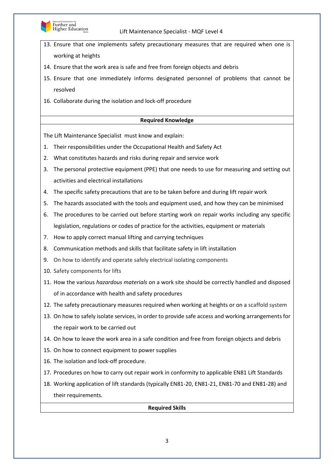

- 13. Ensure that one implements safety precautionary measures that are required when one is working at heights
- 14. Ensure that the work area is safe and free from foreign objects and debris
- 15. Ensure that one immediately informs designated personnel of problems that cannot be resolved
- 16. Collaborate during the isolation and lock-off procedure

#### **Required Knowledge**

The Lift Maintenance Specialist must know and explain:

- 1. Their responsibilities under the Occupational Health and Safety Act
- 2. What constitutes hazards and risks during repair and service work
- 3. The personal protective equipment (PPE) that one needs to use for measuring and setting out activities and electrical installations
- 4. The specific safety precautions that are to be taken before and during lift repair work
- 5. The hazards associated with the tools and equipment used, and how they can be minimised
- 6. The procedures to be carried out before starting work on repair works including any specific legislation, regulations or codes of practice for the activities, equipment or materials
- 7. How to apply correct manual lifting and carrying techniques
- 8. Communication methods and skills that facilitate safety in lift installation
- 9. On how to identify and operate safely electrical isolating components
- 10. Safety components for lifts
- 11. How the various *hazardous materials* on a work site should be correctly handled and disposed of in accordance with health and safety procedures
- 12. The safety precautionary measures required when working at heights or on a scaffold system
- 13. On how to safely isolate services, in order to provide safe access and working arrangements for the repair work to be carried out
- 14. On how to leave the work area in a safe condition and free from foreign objects and debris
- 15. On how to connect equipment to power supplies
- 16. The isolation and lock-off procedure.
- 17. Procedures on how to carry out repair work in conformity to applicable EN81 Lift Standards
- 18. Working application of lift standards (typically EN81-20, EN81-21, EN81-70 and EN81-28) and their requirements.

#### **Required Skills**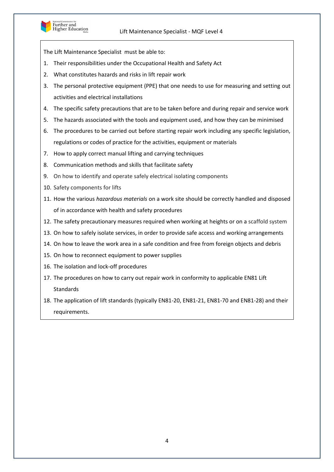

- 1. Their responsibilities under the Occupational Health and Safety Act
- 2. What constitutes hazards and risks in lift repair work
- 3. The personal protective equipment (PPE) that one needs to use for measuring and setting out activities and electrical installations
- 4. The specific safety precautions that are to be taken before and during repair and service work
- 5. The hazards associated with the tools and equipment used, and how they can be minimised
- 6. The procedures to be carried out before starting repair work including any specific legislation, regulations or codes of practice for the activities, equipment or materials
- 7. How to apply correct manual lifting and carrying techniques
- 8. Communication methods and skills that facilitate safety
- 9. On how to identify and operate safely electrical isolating components
- 10. Safety components for lifts
- 11. How the various *hazardous materials* on a work site should be correctly handled and disposed of in accordance with health and safety procedures
- 12. The safety precautionary measures required when working at heights or on a scaffold system
- 13. On how to safely isolate services, in order to provide safe access and working arrangements
- 14. On how to leave the work area in a safe condition and free from foreign objects and debris
- 15. On how to reconnect equipment to power supplies
- 16. The isolation and lock-off procedures
- 17. The procedures on how to carry out repair work in conformity to applicable EN81 Lift **Standards**
- 18. The application of lift standards (typically EN81-20, EN81-21, EN81-70 and EN81-28) and their requirements.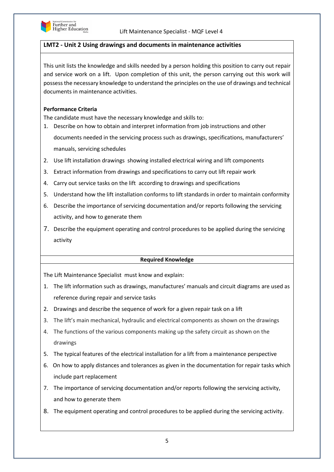

# **LMT2 - Unit 2 Using drawings and documents in maintenance activities**

This unit lists the knowledge and skills needed by a person holding this position to carry out repair and service work on a lift. Upon completion of this unit, the person carrying out this work will possess the necessary knowledge to understand the principles on the use of drawings and technical documents in maintenance activities.

# **Performance Criteria**

The candidate must have the necessary knowledge and skills to:

- 1. Describe on how to obtain and interpret information from job instructions and other documents needed in the servicing process such as drawings, specifications, manufacturers' manuals, servicing schedules
- 2. Use lift installation drawings showing installed electrical wiring and lift components
- 3. Extract information from drawings and specifications to carry out lift repair work
- 4. Carry out service tasks on the lift according to drawings and specifications
- 5. Understand how the lift installation conforms to lift standards in order to maintain conformity
- 6. Describe the importance of servicing documentation and/or reports following the servicing activity, and how to generate them
- 7. Describe the equipment operating and control procedures to be applied during the servicing activity

# **Required Knowledge**

The Lift Maintenance Specialist must know and explain:

- 1. The lift information such as drawings, manufactures' manuals and circuit diagrams are used as reference during repair and service tasks
- 2. Drawings and describe the sequence of work for a given repair task on a lift
- 3. The lift's main mechanical, hydraulic and electrical components as shown on the drawings
- 4. The functions of the various components making up the safety circuit as shown on the drawings
- 5. The typical features of the electrical installation for a lift from a maintenance perspective
- 6. On how to apply distances and tolerances as given in the documentation for repair tasks which include part replacement
- 7. The importance of servicing documentation and/or reports following the servicing activity, and how to generate them
- 8. The equipment operating and control procedures to be applied during the servicing activity.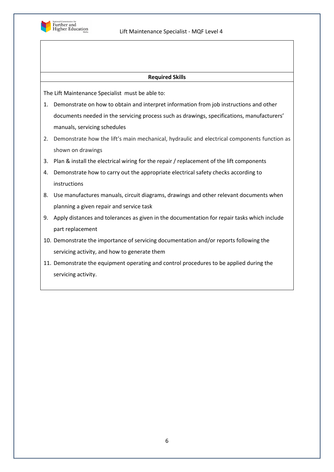

#### **Required Skills**

- 1. Demonstrate on how to obtain and interpret information from job instructions and other documents needed in the servicing process such as drawings, specifications, manufacturers' manuals, servicing schedules
- 2. Demonstrate how the lift's main mechanical, hydraulic and electrical components function as shown on drawings
- 3. Plan & install the electrical wiring for the repair / replacement of the lift components
- 4. Demonstrate how to carry out the appropriate electrical safety checks according to instructions
- 8. Use manufactures manuals, circuit diagrams, drawings and other relevant documents when planning a given repair and service task
- 9. Apply distances and tolerances as given in the documentation for repair tasks which include part replacement
- 10. Demonstrate the importance of servicing documentation and/or reports following the servicing activity, and how to generate them
- 11. Demonstrate the equipment operating and control procedures to be applied during the servicing activity.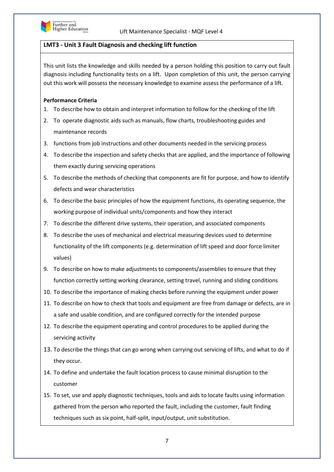

# **LMT3 - Unit 3 Fault Diagnosis and checking lift function**

This unit lists the knowledge and skills needed by a person holding this position to carry out fault diagnosis including functionality tests on a lift. Upon completion of this unit, the person carrying out this work will possess the necessary knowledge to examine assess the performance of a lift.

# **Performance Criteria**

- 1. To describe how to obtain and interpret information to follow for the checking of the lift
- 2. To operate diagnostic aids such as manuals, flow charts, troubleshooting guides and maintenance records
- 3. functions from job instructions and other documents needed in the servicing process
- 4. To describe the inspection and safety checks that are applied, and the importance of following them exactly during servicing operations
- 5. To describe the methods of checking that components are fit for purpose, and how to identify defects and wear characteristics
- 6. To describe the basic principles of how the equipment functions, its operating sequence, the working purpose of individual units/components and how they interact
- 7. To describe the different drive systems, their operation, and associated components
- 8. To describe the uses of mechanical and electrical measuring devices used to determine functionality of the lift components (e.g. determination of lift speed and door force limiter values)
- 9. To describe on how to make adjustments to components/assemblies to ensure that they function correctly setting working clearance, setting travel, running and sliding conditions
- 10. To describe the importance of making checks before running the equipment under power
- 11. To describe on how to check that tools and equipment are free from damage or defects, are in a safe and usable condition, and are configured correctly for the intended purpose
- 12. To describe the equipment operating and control procedures to be applied during the servicing activity
- 13. To describe the things that can go wrong when carrying out servicing of lifts, and what to do if they occur.
- 14. To define and undertake the fault location process to cause minimal disruption to the customer
- 15. To set, use and apply diagnostic techniques, tools and aids to locate faults using information gathered from the person who reported the fault, including the customer, fault finding techniques such as six point, half-split, input/output, unit substitution.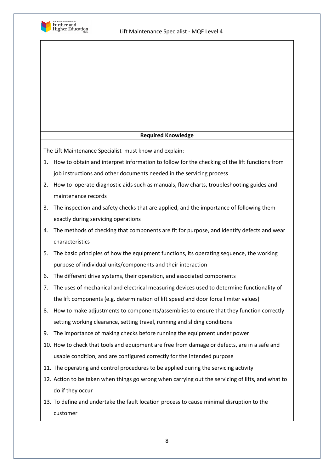

# **Required Knowledge**

The Lift Maintenance Specialist must know and explain:

- 1. How to obtain and interpret information to follow for the checking of the lift functions from job instructions and other documents needed in the servicing process
- 2. How to operate diagnostic aids such as manuals, flow charts, troubleshooting guides and maintenance records
- 3. The inspection and safety checks that are applied, and the importance of following them exactly during servicing operations
- 4. The methods of checking that components are fit for purpose, and identify defects and wear characteristics
- 5. The basic principles of how the equipment functions, its operating sequence, the working purpose of individual units/components and their interaction
- 6. The different drive systems, their operation, and associated components
- 7. The uses of mechanical and electrical measuring devices used to determine functionality of the lift components (e.g. determination of lift speed and door force limiter values)
- 8. How to make adjustments to components/assemblies to ensure that they function correctly setting working clearance, setting travel, running and sliding conditions
- 9. The importance of making checks before running the equipment under power
- 10. How to check that tools and equipment are free from damage or defects, are in a safe and usable condition, and are configured correctly for the intended purpose
- 11. The operating and control procedures to be applied during the servicing activity
- 12. Action to be taken when things go wrong when carrying out the servicing of lifts, and what to do if they occur
- 13. To define and undertake the fault location process to cause minimal disruption to the customer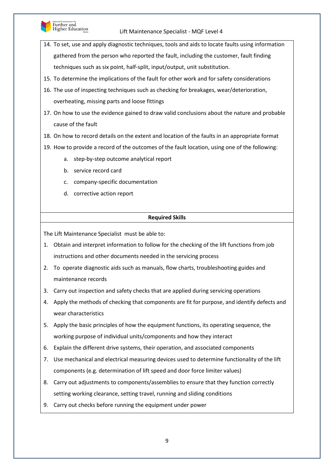

- 14. To set, use and apply diagnostic techniques, tools and aids to locate faults using information gathered from the person who reported the fault, including the customer, fault finding techniques such as six point, half-split, input/output, unit substitution.
- 15. To determine the implications of the fault for other work and for safety considerations
- 16. The use of inspecting techniques such as checking for breakages, wear/deterioration, overheating, missing parts and loose fittings
- 17. On how to use the evidence gained to draw valid conclusions about the nature and probable cause of the fault
- 18. On how to record details on the extent and location of the faults in an appropriate format
- 19. How to provide a record of the outcomes of the fault location, using one of the following:
	- a. step-by-step outcome analytical report
	- b. service record card
	- c. company-specific documentation
	- d. corrective action report

# **Required Skills**

- 1. Obtain and interpret information to follow for the checking of the lift functions from job instructions and other documents needed in the servicing process
- 2. To operate diagnostic aids such as manuals, flow charts, troubleshooting guides and maintenance records
- 3. Carry out inspection and safety checks that are applied during servicing operations
- 4. Apply the methods of checking that components are fit for purpose, and identify defects and wear characteristics
- 5. Apply the basic principles of how the equipment functions, its operating sequence, the working purpose of individual units/components and how they interact
- 6. Explain the different drive systems, their operation, and associated components
- 7. Use mechanical and electrical measuring devices used to determine functionality of the lift components (e.g. determination of lift speed and door force limiter values)
- 8. Carry out adjustments to components/assemblies to ensure that they function correctly setting working clearance, setting travel, running and sliding conditions
- 9. Carry out checks before running the equipment under power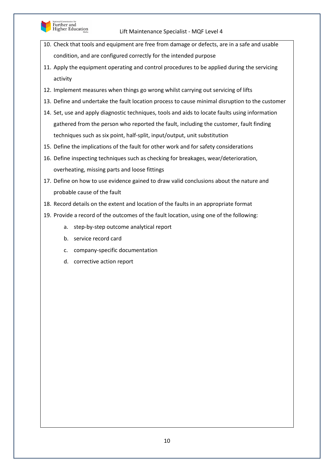

- 10. Check that tools and equipment are free from damage or defects, are in a safe and usable condition, and are configured correctly for the intended purpose
- 11. Apply the equipment operating and control procedures to be applied during the servicing activity
- 12. Implement measures when things go wrong whilst carrying out servicing of lifts
- 13. Define and undertake the fault location process to cause minimal disruption to the customer
- 14. Set, use and apply diagnostic techniques, tools and aids to locate faults using information gathered from the person who reported the fault, including the customer, fault finding techniques such as six point, half-split, input/output, unit substitution
- 15. Define the implications of the fault for other work and for safety considerations
- 16. Define inspecting techniques such as checking for breakages, wear/deterioration, overheating, missing parts and loose fittings
- 17. Define on how to use evidence gained to draw valid conclusions about the nature and probable cause of the fault
- 18. Record details on the extent and location of the faults in an appropriate format
- 19. Provide a record of the outcomes of the fault location, using one of the following:
	- a. step-by-step outcome analytical report
	- b. service record card
	- c. company-specific documentation
	- d. corrective action report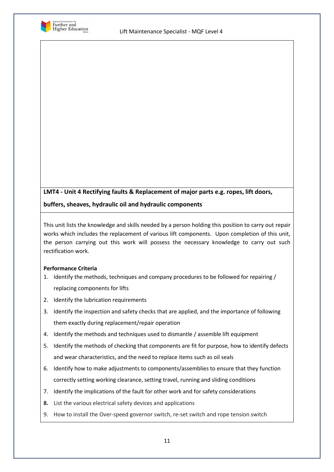

# **LMT4 - Unit 4 Rectifying faults & Replacement of major parts e.g. ropes, lift doors, buffers, sheaves, hydraulic oil and hydraulic components**

This unit lists the knowledge and skills needed by a person holding this position to carry out repair works which includes the replacement of various lift components. Upon completion of this unit, the person carrying out this work will possess the necessary knowledge to carry out such rectification work.

# **Performance Criteria**

- 1. Identify the methods, techniques and company procedures to be followed for repairing / replacing components for lifts
- 2. Identify the lubrication requirements
- 3. Identify the inspection and safety checks that are applied, and the importance of following them exactly during replacement/repair operation
- 4. Identify the methods and techniques used to dismantle / assemble lift equipment
- 5. Identify the methods of checking that components are fit for purpose, how to identify defects and wear characteristics, and the need to replace items such as oil seals
- 6. Identify how to make adjustments to components/assemblies to ensure that they function correctly setting working clearance, setting travel, running and sliding conditions
- 7. Identify the implications of the fault for other work and for safety considerations
- **8.** List the various electrical safety devices and applications
- 9. How to install the Over-speed governor switch, re-set switch and rope tension switch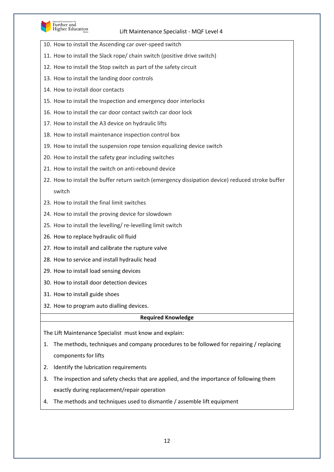

- 10. How to install the Ascending car over-speed switch
- 11. How to install the Slack rope/ chain switch (positive drive switch)
- 12. How to install the Stop switch as part of the safety circuit
- 13. How to install the landing door controls
- 14. How to install door contacts
- 15. How to install the Inspection and emergency door interlocks
- 16. How to install the car door contact switch car door lock
- 17. How to install the A3 device on hydraulic lifts
- 18. How to install maintenance inspection control box
- 19. How to install the suspension rope tension equalizing device switch
- 20. How to install the safety gear including switches
- 21. How to install the switch on anti-rebound device
- 22. How to install the buffer return switch (emergency dissipation device) reduced stroke buffer switch
- 23. How to install the final limit switches
- 24. How to install the proving device for slowdown
- 25. How to install the levelling/ re-levelling limit switch
- 26. How to replace hydraulic oil fluid
- 27. How to install and calibrate the rupture valve
- 28. How to service and install hydraulic head
- 29. How to install load sensing devices
- 30. How to install door detection devices
- 31. How to install guide shoes
- 32. How to program auto dialling devices.

# **Required Knowledge**

The Lift Maintenance Specialist must know and explain:

- 1. The methods, techniques and company procedures to be followed for repairing / replacing components for lifts
- 2. Identify the lubrication requirements
- 3. The inspection and safety checks that are applied, and the importance of following them exactly during replacement/repair operation
- 4. The methods and techniques used to dismantle / assemble lift equipment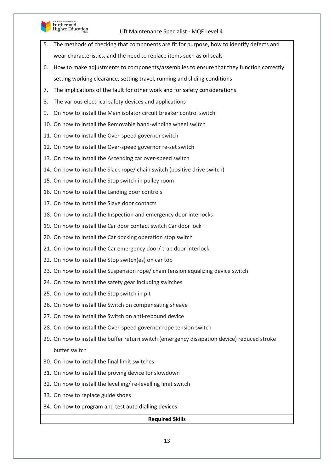

# Further and<br>Higher Education

# Lift Maintenance Specialist - MQF Level 4

- 5. The methods of checking that components are fit for purpose, how to identify defects and wear characteristics, and the need to replace items such as oil seals
- 6. How to make adjustments to components/assemblies to ensure that they function correctly setting working clearance, setting travel, running and sliding conditions
- 7. The implications of the fault for other work and for safety considerations
- 8. The various electrical safety devices and applications
- 9. On how to install the Main isolator circuit breaker control switch
- 10. On how to install the Removable hand-winding wheel switch
- 11. On how to install the Over-speed governor switch
- 12. On how to install the Over-speed governor re-set switch
- 13. On how to install the Ascending car over-speed switch
- 14. On how to install the Slack rope/ chain switch (positive drive switch)
- 15. On how to install the Stop switch in pulley room
- 16. On how to install the Landing door controls
- 17. On how to install the Slave door contacts
- 18. On how to install the Inspection and emergency door interlocks
- 19. On how to install the Car door contact switch Car door lock
- 20. On how to install the Car docking operation stop switch
- 21. On how to install the Car emergency door/ trap door interlock
- 22. On how to install the Stop switch(es) on car top
- 23. On how to install the Suspension rope/ chain tension equalizing device switch
- 24. On how to install the safety gear including switches
- 25. On how to install the Stop switch in pit
- 26. On how to install the Switch on compensating sheave
- 27. On how to install the Switch on anti-rebound device
- 28. On how to install the Over-speed governor rope tension switch
- 29. On how to install the buffer return switch (emergency dissipation device) reduced stroke buffer switch
- 30. On how to install the final limit switches
- 31. On how to install the proving device for slowdown
- 32. On how to install the levelling/ re-levelling limit switch
- 33. On how to replace guide shoes
- 34. On how to program and test auto dialling devices.

# **Required Skills**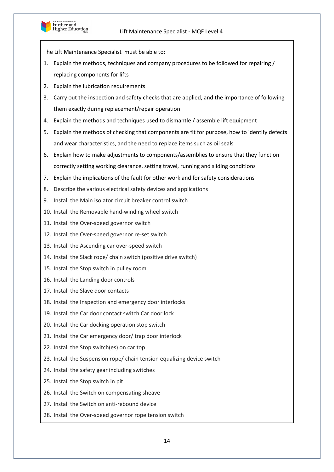

- 1. Explain the methods, techniques and company procedures to be followed for repairing / replacing components for lifts
- 2. Explain the lubrication requirements
- 3. Carry out the inspection and safety checks that are applied, and the importance of following them exactly during replacement/repair operation
- 4. Explain the methods and techniques used to dismantle / assemble lift equipment
- 5. Explain the methods of checking that components are fit for purpose, how to identify defects and wear characteristics, and the need to replace items such as oil seals
- 6. Explain how to make adjustments to components/assemblies to ensure that they function correctly setting working clearance, setting travel, running and sliding conditions
- 7. Explain the implications of the fault for other work and for safety considerations
- 8. Describe the various electrical safety devices and applications
- 9. Install the Main isolator circuit breaker control switch
- 10. Install the Removable hand-winding wheel switch
- 11. Install the Over-speed governor switch
- 12. Install the Over-speed governor re-set switch
- 13. Install the Ascending car over-speed switch
- 14. Install the Slack rope/ chain switch (positive drive switch)
- 15. Install the Stop switch in pulley room
- 16. Install the Landing door controls
- 17. Install the Slave door contacts
- 18. Install the Inspection and emergency door interlocks
- 19. Install the Car door contact switch Car door lock
- 20. Install the Car docking operation stop switch
- 21. Install the Car emergency door/ trap door interlock
- 22. Install the Stop switch(es) on car top
- 23. Install the Suspension rope/ chain tension equalizing device switch
- 24. Install the safety gear including switches
- 25. Install the Stop switch in pit
- 26. Install the Switch on compensating sheave
- 27. Install the Switch on anti-rebound device
- 28. Install the Over-speed governor rope tension switch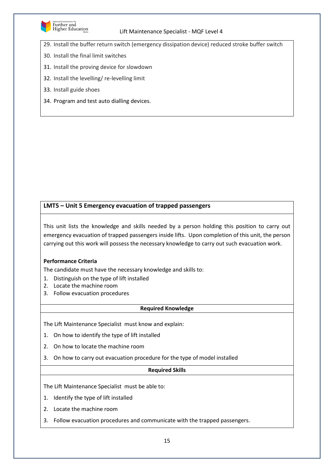

29. Install the buffer return switch (emergency dissipation device) reduced stroke buffer switch

- 30. Install the final limit switches
- 31. Install the proving device for slowdown
- 32. Install the levelling/ re-levelling limit
- 33. Install guide shoes
- 34. Program and test auto dialling devices.

# **LMT5 – Unit 5 Emergency evacuation of trapped passengers**

This unit lists the knowledge and skills needed by a person holding this position to carry out emergency evacuation of trapped passengers inside lifts. Upon completion of this unit, the person carrying out this work will possess the necessary knowledge to carry out such evacuation work.

# **Performance Criteria**

The candidate must have the necessary knowledge and skills to:

- 1. Distinguish on the type of lift installed
- 2. Locate the machine room
- 3. Follow evacuation procedures

#### **Required Knowledge**

The Lift Maintenance Specialist must know and explain:

- 1. On how to identify the type of lift installed
- 2. On how to locate the machine room
- 3. On how to carry out evacuation procedure for the type of model installed

#### **Required Skills**

- 1. Identify the type of lift installed
- 2. Locate the machine room
- 3. Follow evacuation procedures and communicate with the trapped passengers.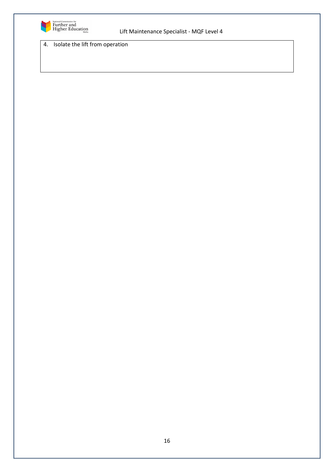

4. Isolate the lift from operation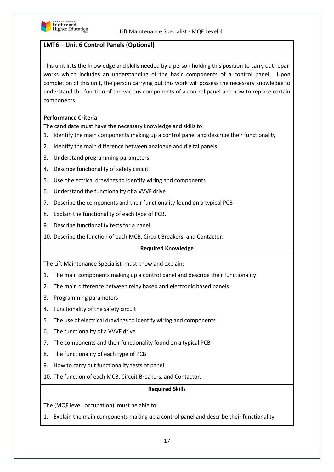

# **LMT6 – Unit 6 Control Panels (Optional)**

This unit lists the knowledge and skills needed by a person holding this position to carry out repair works which includes an understanding of the basic components of a control panel. Upon completion of this unit, the person carrying out this work will possess the necessary knowledge to understand the function of the various components of a control panel and how to replace certain components.

# **Performance Criteria**

The candidate must have the necessary knowledge and skills to:

- 1. Identify the main components making up a control panel and describe their functionality
- 2. Identify the main difference between analogue and digital panels
- 3. Understand programming parameters
- 4. Describe functionality of safety circuit
- 5. Use of electrical drawings to identify wiring and components
- 6. Understand the functionality of a VVVF drive
- 7. Describe the components and their functionality found on a typical PCB
- 8. Explain the functionality of each type of PCB.
- 9. Describe functionality tests for a panel
- 10. Describe the function of each MCB, Circuit Breakers, and Contactor.

# **Required Knowledge**

The Lift Maintenance Specialist must know and explain:

- 1. The main components making up a control panel and describe their functionality
- 2. The main difference between relay based and electronic based panels
- 3. Programming parameters
- 4. Functionality of the safety circuit
- 5. The use of electrical drawings to identify wiring and components
- 6. The functionality of a VVVF drive
- 7. The components and their functionality found on a typical PCB
- 8. The functionality of each type of PCB
- 9. How to carry out functionality tests of panel
- 10. The function of each MCB, Circuit Breakers, and Contactor.

#### **Required Skills**

The (MQF level, occupation) must be able to:

1. Explain the main components making up a control panel and describe their functionality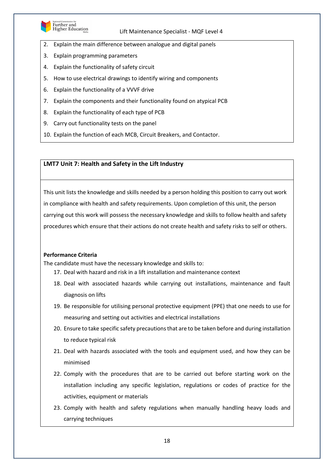

Further and<br>Higher Education

#### Lift Maintenance Specialist - MQF Level 4

- 2. Explain the main difference between analogue and digital panels
- 3. Explain programming parameters
- 4. Explain the functionality of safety circuit
- 5. How to use electrical drawings to identify wiring and components
- 6. Explain the functionality of a VVVF drive
- 7. Explain the components and their functionality found on atypical PCB
- 8. Explain the functionality of each type of PCB
- 9. Carry out functionality tests on the panel
- 10. Explain the function of each MCB, Circuit Breakers, and Contactor.

# **LMT7 Unit 7: Health and Safety in the Lift Industry**

This unit lists the knowledge and skills needed by a person holding this position to carry out work in compliance with health and safety requirements. Upon completion of this unit, the person carrying out this work will possess the necessary knowledge and skills to follow health and safety procedures which ensure that their actions do not create health and safety risks to self or others.

# **Performance Criteria**

The candidate must have the necessary knowledge and skills to:

- 17. Deal with hazard and risk in a lift installation and maintenance context
- 18. Deal with associated hazards while carrying out installations, maintenance and fault diagnosis on lifts
- 19. Be responsible for utilising personal protective equipment (PPE) that one needs to use for measuring and setting out activities and electrical installations
- 20. Ensure to take specific safety precautions that are to be taken before and during installation to reduce typical risk
- 21. Deal with hazards associated with the tools and equipment used, and how they can be minimised
- 22. Comply with the procedures that are to be carried out before starting work on the installation including any specific legislation, regulations or codes of practice for the activities, equipment or materials
- 23. Comply with health and safety regulations when manually handling heavy loads and carrying techniques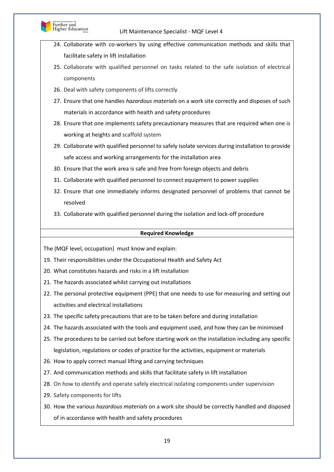

- 24. Collaborate with co-workers by using effective communication methods and skills that facilitate safety in lift installation
- 25. Collaborate with qualified personnel on tasks related to the safe isolation of electrical components
- 26. Deal with safety components of lifts correctly
- 27. Ensure that one handles *hazardous materials* on a work site correctly and disposes of such materials in accordance with health and safety procedures
- 28. Ensure that one implements safety precautionary measures that are required when one is working at heights and scaffold system
- 29. Collaborate with qualified personnel to safely isolate services during installation to provide safe access and working arrangements for the installation area
- 30. Ensure that the work area is safe and free from foreign objects and debris
- 31. Collaborate with qualified personnel to connect equipment to power supplies
- 32. Ensure that one immediately informs designated personnel of problems that cannot be resolved
- 33. Collaborate with qualified personnel during the isolation and lock-off procedure

### **Required Knowledge**

The (MQF level, occupation) must know and explain:

19. Their responsibilities under the Occupational Health and Safety Act

- 20. What constitutes hazards and risks in a lift installation
- 21. The hazards associated whilst carrying out installations
- 22. The personal protective equipment (PPE) that one needs to use for measuring and setting out activities and electrical installations
- 23. The specific safety precautions that are to be taken before and during installation
- 24. The hazards associated with the tools and equipment used, and how they can be minimised
- 25. The procedures to be carried out before starting work on the installation including any specific legislation, regulations or codes of practice for the activities, equipment or materials
- 26. How to apply correct manual lifting and carrying techniques
- 27. And communication methods and skills that facilitate safety in lift installation
- 28. On how to identify and operate safely electrical isolating components under supervision
- 29. Safety components for lifts
- 30. How the various *hazardous materials* on a work site should be correctly handled and disposed of in accordance with health and safety procedures